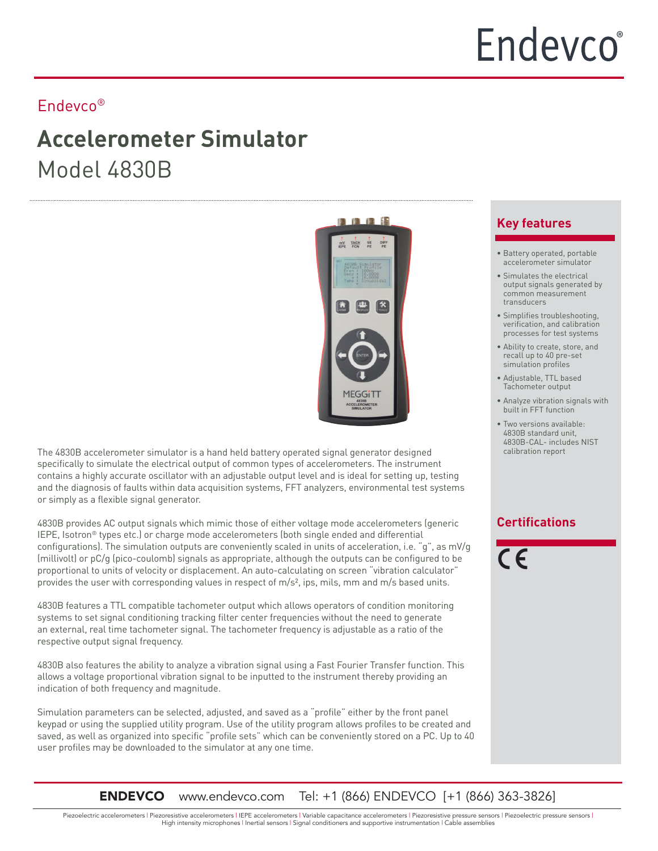#### Endevco®

## **Accelerometer Simulator** Model 4830B



The 4830B accelerometer simulator is a hand held battery operated signal generator designed specifically to simulate the electrical output of common types of accelerometers. The instrument contains a highly accurate oscillator with an adjustable output level and is ideal for setting up, testing and the diagnosis of faults within data acquisition systems, FFT analyzers, environmental test systems or simply as a flexible signal generator.

4830B provides AC output signals which mimic those of either voltage mode accelerometers (generic IEPE, Isotron® types etc.) or charge mode accelerometers (both single ended and differential configurations). The simulation outputs are conveniently scaled in units of acceleration, i.e. "g", as mV/g (millivolt) or pC/g (pico-coulomb) signals as appropriate, although the outputs can be configured to be proportional to units of velocity or displacement. An auto-calculating on screen "vibration calculator" provides the user with corresponding values in respect of m/s², ips, mils, mm and m/s based units.

4830B features a TTL compatible tachometer output which allows operators of condition monitoring systems to set signal conditioning tracking filter center frequencies without the need to generate an external, real time tachometer signal. The tachometer frequency is adjustable as a ratio of the respective output signal frequency.

4830B also features the ability to analyze a vibration signal using a Fast Fourier Transfer function. This allows a voltage proportional vibration signal to be inputted to the instrument thereby providing an indication of both frequency and magnitude.

Simulation parameters can be selected, adjusted, and saved as a "profile" either by the front panel keypad or using the supplied utility program. Use of the utility program allows profiles to be created and saved, as well as organized into specific "profile sets" which can be conveniently stored on a PC. Up to 40 user profiles may be downloaded to the simulator at any one time.

#### **Key features**

- Battery operated, portable accelerometer simulator
- Simulates the electrical output signals generated by common measurement transducers
- Simplifies troubleshooting, verification, and calibration processes for test systems
- Ability to create, store, and recall up to 40 pre-set simulation profiles
- Adjustable, TTL based Tachometer output
- Analyze vibration signals with built in FFT function
- Two versions available: 4830B standard unit, 4830B-CAL- includes NIST calibration report

#### **Certifications**

 $\epsilon$ 

**ENDEVCO** www.endevco.com Tel: +1 (866) ENDEVCO [+1 (866) 363-3826]

Piezoelectric accelerometers | Piezoresistive accelerometers | IEPE accelerometers | Variable capacitance accelerometers | Piezoresistive pressure sensors | Piezoelectric pressure sensors | High intensity microphones | Inertial sensors | Signal conditioners and supportive instrumentation | Cable assemblies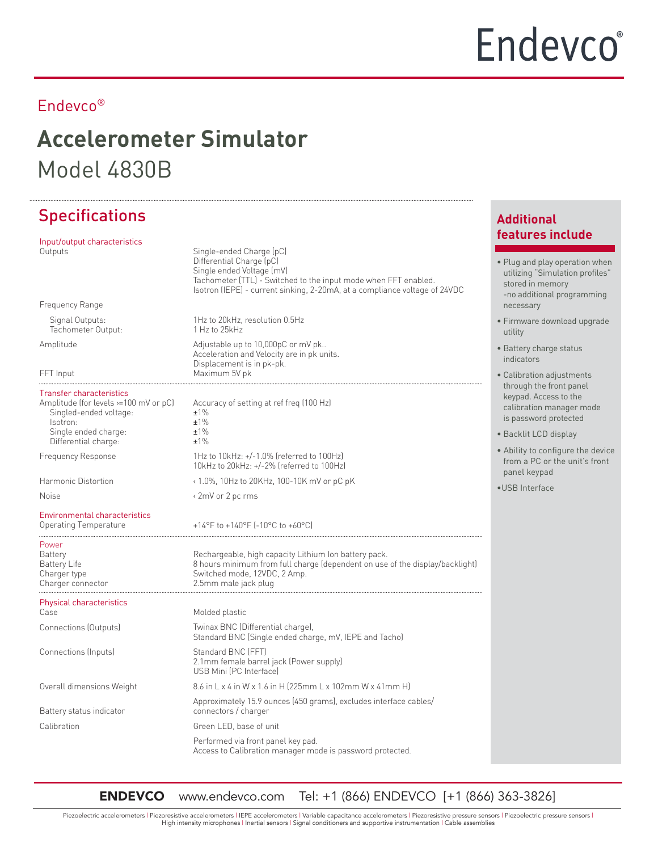## **Accelerometer Simulator** Model 4830B

## Specifications

| Input/output characteristics                                                                                                                                   |                                                                                                                                                                                                                                    |  |
|----------------------------------------------------------------------------------------------------------------------------------------------------------------|------------------------------------------------------------------------------------------------------------------------------------------------------------------------------------------------------------------------------------|--|
| Outputs                                                                                                                                                        | Single-ended Charge (pC)<br>Differential Charge (pC)<br>Single ended Voltage (mV)<br>Tachometer (TTL) - Switched to the input mode when FFT enabled.<br>Isotron (IEPE) - current sinking, 2-20mA, at a compliance voltage of 24VDC |  |
| Frequency Range                                                                                                                                                |                                                                                                                                                                                                                                    |  |
| Signal Outputs:<br>Tachometer Output:                                                                                                                          | 1Hz to 20kHz, resolution 0.5Hz<br>1 Hz to 25kHz                                                                                                                                                                                    |  |
| Amplitude<br>FFT Input                                                                                                                                         | Adjustable up to 10,000pC or mV pk<br>Acceleration and Velocity are in pk units.<br>Displacement is in pk-pk.<br>Maximum 5V pk                                                                                                     |  |
|                                                                                                                                                                |                                                                                                                                                                                                                                    |  |
| <b>Transfer characteristics</b><br>Amplitude (for levels >=100 mV or pC)<br>Singled-ended voltage:<br>Isotron:<br>Single ended charge:<br>Differential charge: | Accuracy of setting at ref freg (100 Hz)<br>$±1\%$<br>±1%<br>±1%<br>±1%                                                                                                                                                            |  |
| <b>Frequency Response</b>                                                                                                                                      | 1Hz to 10kHz: $+/-1.0\%$ (referred to 100Hz)<br>10kHz to 20kHz: +/-2% (referred to 100Hz)                                                                                                                                          |  |
| Harmonic Distortion                                                                                                                                            | < 1.0%, 10Hz to 20KHz, 100-10K mV or pC pK                                                                                                                                                                                         |  |
| <b>Noise</b>                                                                                                                                                   | < 2mV or 2 pc rms                                                                                                                                                                                                                  |  |
| <b>Environmental characteristics</b><br>Operating Temperature                                                                                                  | +14°F to +140°F [-10°C to +60°C]                                                                                                                                                                                                   |  |
| Power<br>Battery<br>Battery Life<br>Charger type<br>Charger connector                                                                                          | Rechargeable, high capacity Lithium Ion battery pack.<br>8 hours minimum from full charge (dependent on use of the display/backlight)<br>Switched mode, 12VDC, 2 Amp.<br>2.5mm male jack plug                                      |  |
| <b>Physical characteristics</b><br>Case                                                                                                                        | Molded plastic                                                                                                                                                                                                                     |  |
| Connections (Outputs)                                                                                                                                          | Twinax BNC (Differential charge),<br>Standard BNC (Single ended charge, mV, IEPE and Tacho)                                                                                                                                        |  |
| Connections (Inputs)                                                                                                                                           | Standard BNC (FFT)<br>2.1mm female barrel jack (Power supply)<br>USB Mini (PC Interface)                                                                                                                                           |  |
| Overall dimensions Weight                                                                                                                                      | 8.6 in L x 4 in W x 1.6 in H (225mm L x 102mm W x 41mm H)                                                                                                                                                                          |  |
| Battery status indicator                                                                                                                                       | Approximately 15.9 ounces (450 grams), excludes interface cables/<br>connectors / charger                                                                                                                                          |  |
| Calibration                                                                                                                                                    | Green LED, base of unit                                                                                                                                                                                                            |  |
|                                                                                                                                                                | Performed via front panel key pad.<br>Access to Calibration manager mode is password protected.                                                                                                                                    |  |

#### **Additional features include**

- Plug and play operation when utilizing "Simulation profiles" stored in memory -no additional programming necessary
- Firmware download upgrade utility
- Battery charge status indicators
- Calibration adjustments through the front panel keypad. Access to the calibration manager mode is password protected
- Backlit LCD display
- Ability to configure the device from a PC or the unit's front panel keypad
- •USB Interface

ENDEVCO www.endevco.com Tel: +1 (866) ENDEVCO [+1 (866) 363-3826]

Piezoelectric accelerometers | Piezoresistive accelerometers | IEPE accelerometers | Variable capacitance accelerometers | Piezoresistive pressure sensors | Piezoelectric pressure sensors | High intensity microphones | Inertial sensors | Signal conditioners and supportive instrumentation | Cable assemblies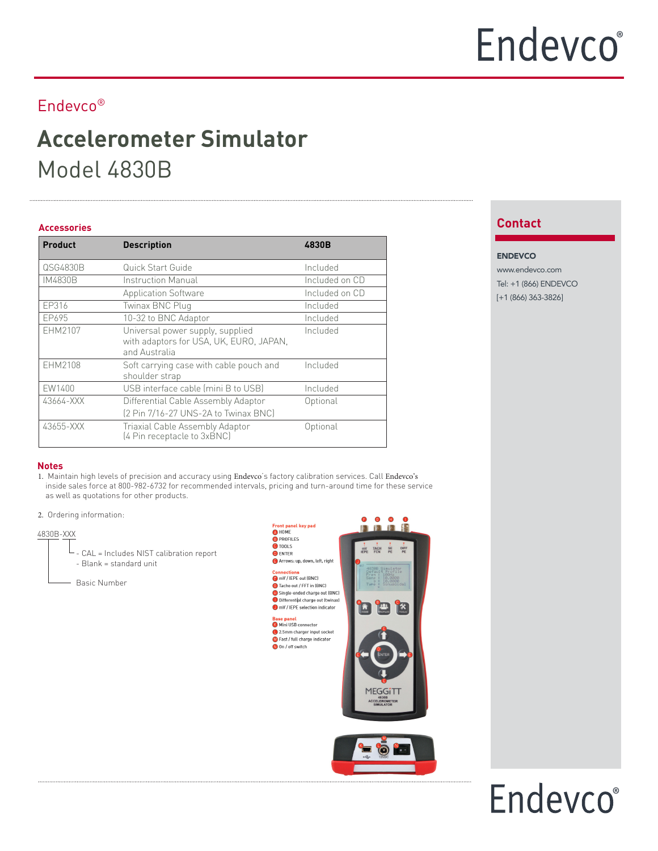## **Accelerometer Simulator** Model 4830B

#### **Contact Accessories**

| <b>Product</b> | <b>Description</b>                                                                           | 4830B          |
|----------------|----------------------------------------------------------------------------------------------|----------------|
| QSG4830B       | Quick Start Guide                                                                            | Included       |
| IM4830B        | Instruction Manual                                                                           | Included on CD |
|                | <b>Application Software</b>                                                                  | Included on CD |
| EP316          | Twinax BNC Plug                                                                              | Included       |
| EP695          | 10-32 to BNC Adaptor                                                                         | Included       |
| EHM2107        | Universal power supply, supplied<br>with adaptors for USA, UK, EURO, JAPAN,<br>and Australia | Included       |
| EHM2108        | Soft carrying case with cable pouch and<br>shoulder strap                                    | Included       |
| <b>EW1400</b>  | USB interface cable (mini B to USB)                                                          | Included       |
| 43664-XXX      | Differential Cable Assembly Adaptor<br>[2 Pin 7/16-27 UNS-2A to Twinax BNC]                  | Optional       |
| 43655-XXX      | Triaxial Cable Assembly Adaptor<br>[4 Pin receptacle to 3xBNC]                               | Optional       |

#### ENDEVCO www.endevco.com Tel: +1 (866) ENDEVCO [+1 (866) 363-3826]

#### **Notes**

- 1. Maintain high levels of precision and accuracy using Endevco's factory calibration services. Call Endevco's inside sales force at 800-982-6732 for recommended intervals, pricing and turn-around time for these service as well as quotations for other products.
- 2. Ordering information:

#### 4830B-XXX

- CAL = Includes NIST calibration report - Blank = standard unit
- Basic Number





## Endevco®